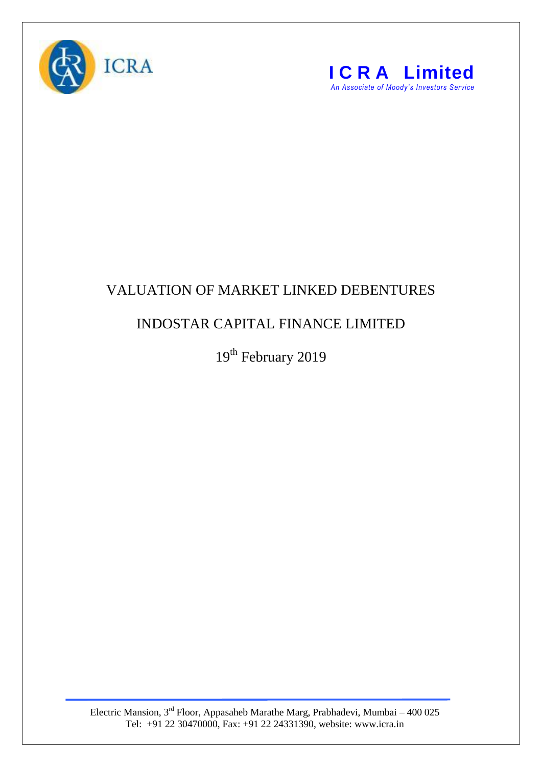



## VALUATION OF MARKET LINKED DEBENTURES

## INDOSTAR CAPITAL FINANCE LIMITED

19<sup>th</sup> February 2019

Electric Mansion,  $3<sup>rd</sup>$  Floor, Appasaheb Marathe Marg, Prabhadevi, Mumbai – 400 025 Tel: +91 22 30470000, Fax: +91 22 24331390, website: www.icra.in